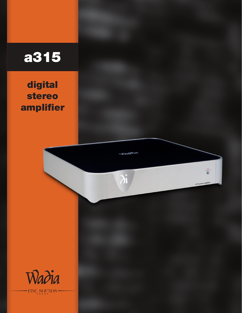## a315

digital stereo amplifier

a315 power